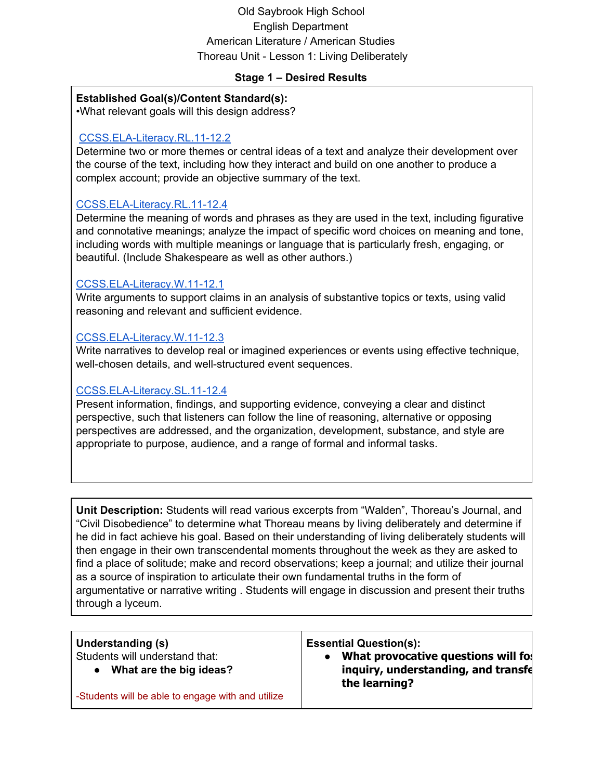# Old Saybrook High School English Department American Literature / American Studies Thoreau Unit - Lesson 1: Living Deliberately

#### **Stage 1 – Desired Results**

#### **Established Goal(s)/Content Standard(s):**

•What relevant goals will this design address?

# [CCSS.ELA-Literacy.RL.11-12.2](http://www.corestandards.org/ELA-Literacy/RL/11-12/2/)

Determine two or more themes or central ideas of a text and analyze their development over the course of the text, including how they interact and build on one another to produce a complex account; provide an objective summary of the text.

# [CCSS.ELA-Literacy.RL.11-12.4](http://www.corestandards.org/ELA-Literacy/RL/11-12/4/)

Determine the meaning of words and phrases as they are used in the text, including figurative and connotative meanings; analyze the impact of specific word choices on meaning and tone, including words with multiple meanings or language that is particularly fresh, engaging, or beautiful. (Include Shakespeare as well as other authors.)

#### [CCSS.ELA-Literacy.W.11-12.1](http://www.corestandards.org/ELA-Literacy/W/11-12/1/)

Write arguments to support claims in an analysis of substantive topics or texts, using valid reasoning and relevant and sufficient evidence.

# [CCSS.ELA-Literacy.W.11-12.3](http://www.corestandards.org/ELA-Literacy/W/11-12/3/)

Write narratives to develop real or imagined experiences or events using effective technique, well-chosen details, and well-structured event sequences.

### [CCSS.ELA-Literacy.SL.11-12.4](http://www.corestandards.org/ELA-Literacy/SL/11-12/4/)

Present information, findings, and supporting evidence, conveying a clear and distinct perspective, such that listeners can follow the line of reasoning, alternative or opposing perspectives are addressed, and the organization, development, substance, and style are appropriate to purpose, audience, and a range of formal and informal tasks.

**Unit Description:** Students will read various excerpts from "Walden", Thoreau's Journal, and "Civil Disobedience" to determine what Thoreau means by living deliberately and determine if he did in fact achieve his goal. Based on their understanding of living deliberately students will then engage in their own transcendental moments throughout the week as they are asked to find a place of solitude; make and record observations; keep a journal; and utilize their journal as a source of inspiration to articulate their own fundamental truths in the form of argumentative or narrative writing . Students will engage in discussion and present their truths through a lyceum.

| <b>Essential Question(s):</b><br>Understanding (s)<br>Students will understand that:<br>What are the big ideas?<br>-Students will be able to engage with and utilize | What provocative questions will fo!<br>inquiry, understanding, and transfe<br>the learning? |
|----------------------------------------------------------------------------------------------------------------------------------------------------------------------|---------------------------------------------------------------------------------------------|
|----------------------------------------------------------------------------------------------------------------------------------------------------------------------|---------------------------------------------------------------------------------------------|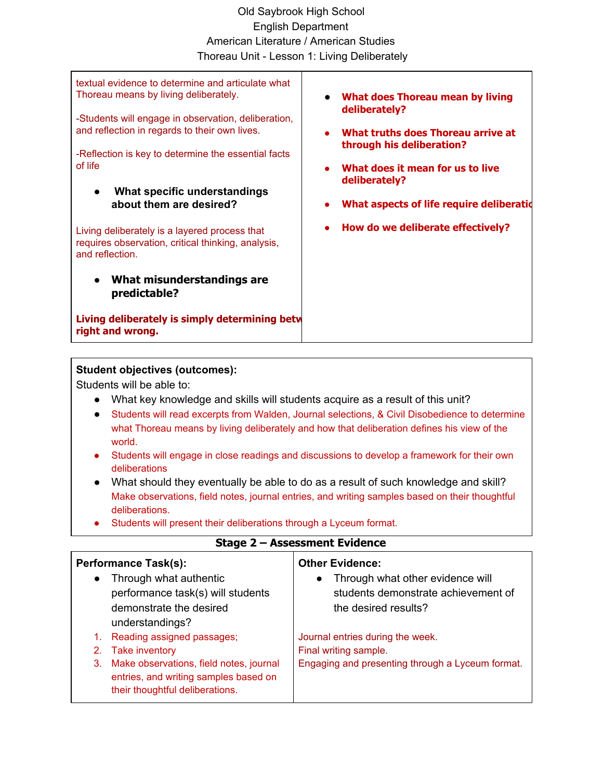# Old Saybrook High School English Department American Literature / American Studies Thoreau Unit - Lesson 1: Living Deliberately

textual evidence to determine and articulate what Thoreau means by living deliberately.

-Students will engage in observation, deliberation, and reflection in regards to their own lives.

-Reflection is key to determine the essential facts of life

**● What specific understandings about them are desired?**

Living deliberately is a layered process that requires observation, critical thinking, analysis, and reflection.

● **What misunderstandings are predictable?**

**Living deliberately is simply determining betw right and wrong.**

- **What does Thoreau mean by living deliberately?**
- **What truths does Thoreau arrive at through his deliberation?**
- **What does it mean for us to live deliberately?**
- **What aspects of life require deliberatio**
- **How do we deliberate effectively?**

#### **Student objectives (outcomes):**

Students will be able to:

- What key knowledge and skills will students acquire as a result of this unit?
- Students will read excerpts from Walden, Journal selections, & Civil Disobedience to determine what Thoreau means by living deliberately and how that deliberation defines his view of the world.
- Students will engage in close readings and discussions to develop a framework for their own deliberations
- What should they eventually be able to do as a result of such knowledge and skill? Make observations, field notes, journal entries, and writing samples based on their thoughtful deliberations.
- Students will present their deliberations through a Lyceum format.

| <b>Performance Task(s):</b> |                                                                                                                     | <b>Other Evidence:</b>                                                                                       |
|-----------------------------|---------------------------------------------------------------------------------------------------------------------|--------------------------------------------------------------------------------------------------------------|
| $\bullet$                   | Through what authentic<br>performance task(s) will students<br>demonstrate the desired<br>understandings?           | Through what other evidence will<br>$\bullet$<br>students demonstrate achievement of<br>the desired results? |
| 1.                          | Reading assigned passages;                                                                                          | Journal entries during the week.                                                                             |
|                             | 2. Take inventory                                                                                                   | Final writing sample.                                                                                        |
| 3.                          | Make observations, field notes, journal<br>entries, and writing samples based on<br>their thoughtful deliberations. | Engaging and presenting through a Lyceum format.                                                             |

# **Stage 2 – Assessment Evidence**